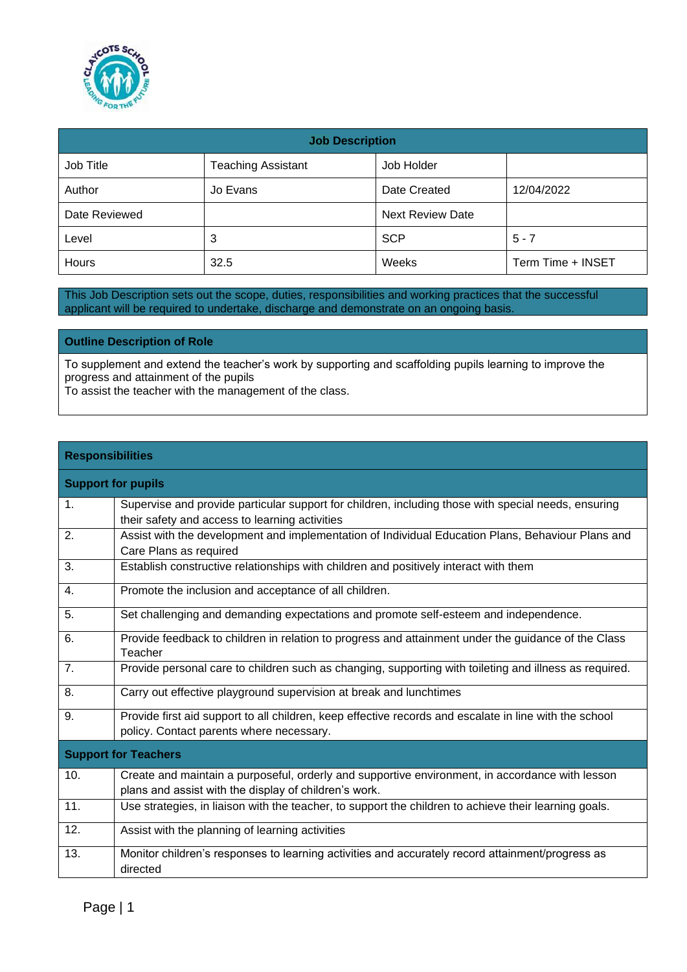

| <b>Job Description</b> |                           |                         |                   |  |
|------------------------|---------------------------|-------------------------|-------------------|--|
| Job Title              | <b>Teaching Assistant</b> | Job Holder              |                   |  |
| Author                 | Jo Evans                  | Date Created            | 12/04/2022        |  |
| Date Reviewed          |                           | <b>Next Review Date</b> |                   |  |
| Level                  | 3                         | <b>SCP</b>              | $5 - 7$           |  |
| Hours                  | 32.5                      | Weeks                   | Term Time + INSET |  |

This Job Description sets out the scope, duties, responsibilities and working practices that the successful applicant will be required to undertake, discharge and demonstrate on an ongoing basis.

**Outline Description of Role**

To supplement and extend the teacher's work by supporting and scaffolding pupils learning to improve the progress and attainment of the pupils

To assist the teacher with the management of the class.

## **Responsibilities**

| <b>Support for pupils</b> |                                                                                                                                                          |
|---------------------------|----------------------------------------------------------------------------------------------------------------------------------------------------------|
| 1.                        | Supervise and provide particular support for children, including those with special needs, ensuring<br>their safety and access to learning activities    |
| 2.                        | Assist with the development and implementation of Individual Education Plans, Behaviour Plans and<br>Care Plans as required                              |
| 3.                        | Establish constructive relationships with children and positively interact with them                                                                     |
| 4.                        | Promote the inclusion and acceptance of all children.                                                                                                    |
| 5.                        | Set challenging and demanding expectations and promote self-esteem and independence.                                                                     |
| 6.                        | Provide feedback to children in relation to progress and attainment under the guidance of the Class<br>Teacher                                           |
| 7.                        | Provide personal care to children such as changing, supporting with toileting and illness as required.                                                   |
| 8.                        | Carry out effective playground supervision at break and lunchtimes                                                                                       |
| 9.                        | Provide first aid support to all children, keep effective records and escalate in line with the school<br>policy. Contact parents where necessary.       |
|                           | <b>Support for Teachers</b>                                                                                                                              |
| 10.                       | Create and maintain a purposeful, orderly and supportive environment, in accordance with lesson<br>plans and assist with the display of children's work. |
| 11.                       | Use strategies, in liaison with the teacher, to support the children to achieve their learning goals.                                                    |
| 12.                       | Assist with the planning of learning activities                                                                                                          |
| 13.                       | Monitor children's responses to learning activities and accurately record attainment/progress as<br>directed                                             |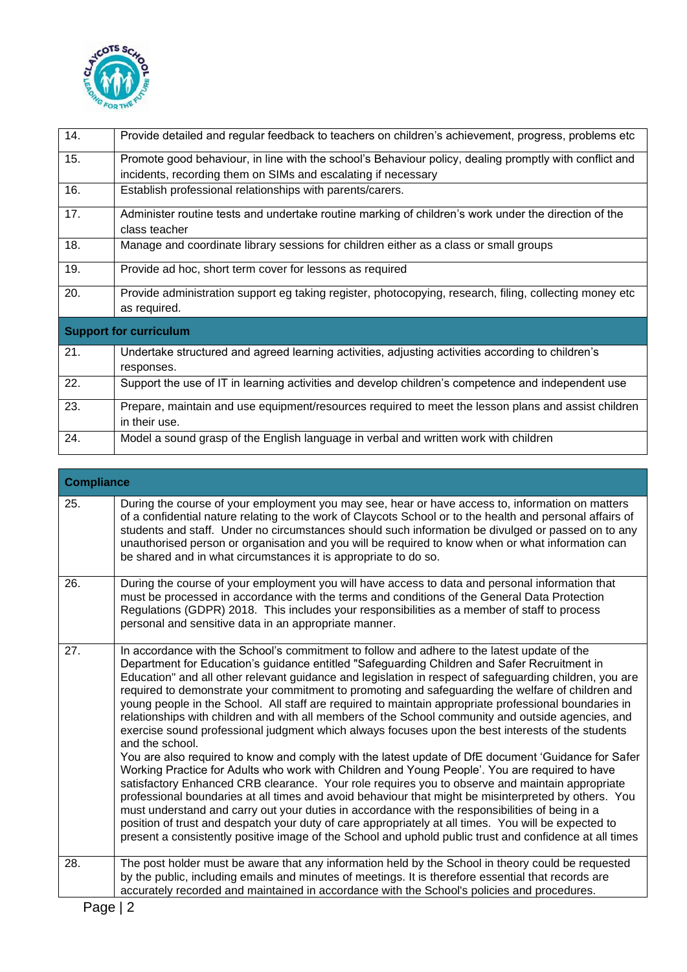

| 14. | Provide detailed and regular feedback to teachers on children's achievement, progress, problems etc     |
|-----|---------------------------------------------------------------------------------------------------------|
|     |                                                                                                         |
| 15. | Promote good behaviour, in line with the school's Behaviour policy, dealing promptly with conflict and  |
|     | incidents, recording them on SIMs and escalating if necessary                                           |
| 16. | Establish professional relationships with parents/carers.                                               |
| 17. | Administer routine tests and undertake routine marking of children's work under the direction of the    |
|     | class teacher                                                                                           |
| 18. | Manage and coordinate library sessions for children either as a class or small groups                   |
| 19. | Provide ad hoc, short term cover for lessons as required                                                |
|     |                                                                                                         |
| 20. | Provide administration support eg taking register, photocopying, research, filing, collecting money etc |
|     | as required.                                                                                            |
|     |                                                                                                         |
|     | <b>Support for curriculum</b>                                                                           |
| 21. | Undertake structured and agreed learning activities, adjusting activities according to children's       |
|     | responses.                                                                                              |
| 22. | Support the use of IT in learning activities and develop children's competence and independent use      |
|     |                                                                                                         |
| 23. | Prepare, maintain and use equipment/resources required to meet the lesson plans and assist children     |
|     | in their use.                                                                                           |

| <b>Compliance</b> |                                                                                                                                                                                                                                                                                                                                                                                                                                                                                                                                                                                                                                                                                                                                                                                                                                                                                                                                                                                                                                                                                                                                                                                                                                                                                                                                                                                                                                                                                              |
|-------------------|----------------------------------------------------------------------------------------------------------------------------------------------------------------------------------------------------------------------------------------------------------------------------------------------------------------------------------------------------------------------------------------------------------------------------------------------------------------------------------------------------------------------------------------------------------------------------------------------------------------------------------------------------------------------------------------------------------------------------------------------------------------------------------------------------------------------------------------------------------------------------------------------------------------------------------------------------------------------------------------------------------------------------------------------------------------------------------------------------------------------------------------------------------------------------------------------------------------------------------------------------------------------------------------------------------------------------------------------------------------------------------------------------------------------------------------------------------------------------------------------|
| 25.               | During the course of your employment you may see, hear or have access to, information on matters<br>of a confidential nature relating to the work of Claycots School or to the health and personal affairs of<br>students and staff. Under no circumstances should such information be divulged or passed on to any<br>unauthorised person or organisation and you will be required to know when or what information can<br>be shared and in what circumstances it is appropriate to do so.                                                                                                                                                                                                                                                                                                                                                                                                                                                                                                                                                                                                                                                                                                                                                                                                                                                                                                                                                                                                  |
| 26.               | During the course of your employment you will have access to data and personal information that<br>must be processed in accordance with the terms and conditions of the General Data Protection<br>Regulations (GDPR) 2018. This includes your responsibilities as a member of staff to process<br>personal and sensitive data in an appropriate manner.                                                                                                                                                                                                                                                                                                                                                                                                                                                                                                                                                                                                                                                                                                                                                                                                                                                                                                                                                                                                                                                                                                                                     |
| 27.               | In accordance with the School's commitment to follow and adhere to the latest update of the<br>Department for Education's guidance entitled "Safeguarding Children and Safer Recruitment in<br>Education" and all other relevant guidance and legislation in respect of safeguarding children, you are<br>required to demonstrate your commitment to promoting and safeguarding the welfare of children and<br>young people in the School. All staff are required to maintain appropriate professional boundaries in<br>relationships with children and with all members of the School community and outside agencies, and<br>exercise sound professional judgment which always focuses upon the best interests of the students<br>and the school.<br>You are also required to know and comply with the latest update of DfE document 'Guidance for Safer<br>Working Practice for Adults who work with Children and Young People'. You are required to have<br>satisfactory Enhanced CRB clearance. Your role requires you to observe and maintain appropriate<br>professional boundaries at all times and avoid behaviour that might be misinterpreted by others. You<br>must understand and carry out your duties in accordance with the responsibilities of being in a<br>position of trust and despatch your duty of care appropriately at all times. You will be expected to<br>present a consistently positive image of the School and uphold public trust and confidence at all times |
| 28.               | The post holder must be aware that any information held by the School in theory could be requested<br>by the public, including emails and minutes of meetings. It is therefore essential that records are<br>accurately recorded and maintained in accordance with the School's policies and procedures.                                                                                                                                                                                                                                                                                                                                                                                                                                                                                                                                                                                                                                                                                                                                                                                                                                                                                                                                                                                                                                                                                                                                                                                     |
|                   |                                                                                                                                                                                                                                                                                                                                                                                                                                                                                                                                                                                                                                                                                                                                                                                                                                                                                                                                                                                                                                                                                                                                                                                                                                                                                                                                                                                                                                                                                              |